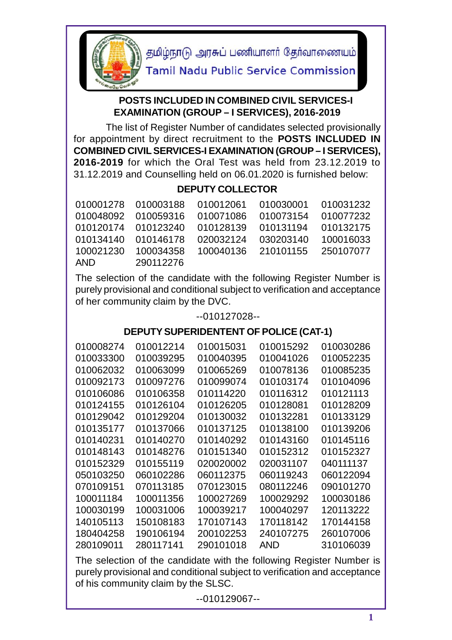

தமிழ்நாடு அரசுப் பணியாளர் தேர்வாணையம்

**Tamil Nadu Public Service Commission** 

## **POSTS INCLUDED IN COMBINED CIVIL SERVICES-I EXAMINATION (GROUP – I SERVICES), 2016-2019**

 The list of Register Number of candidates selected provisionally for appointment by direct recruitment to the **POSTS INCLUDED IN COMBINED CIVIL SERVICES-I EXAMINATION (GROUP – I SERVICES), 2016-2019** for which the Oral Test was held from 23.12.2019 to 31.12.2019 and Counselling held on 06.01.2020 is furnished below:

## **DEPUTY COLLECTOR**

|            |           | 010001278 010003188 010012061 010030001 010031232     |  |
|------------|-----------|-------------------------------------------------------|--|
|            |           | 010048092 010059316 010071086 010073154 010077232     |  |
|            |           | 010120174 010123240 010128139 010131194 010132175     |  |
|            |           | 010134140  010146178  020032124  030203140  100016033 |  |
|            |           | 100021230  100034358  100040136  210101155  250107077 |  |
| <b>AND</b> | 290112276 |                                                       |  |

The selection of the candidate with the following Register Number is purely provisional and conditional subject to verification and acceptance of her community claim by the DVC.

## --010127028--

## **DEPUTY SUPERIDENTENT OF POLICE (CAT-1)**

| 010008274 | 010012214 | 010015031 | 010015292  | 010030286 |  |
|-----------|-----------|-----------|------------|-----------|--|
| 010033300 | 010039295 | 010040395 | 010041026  | 010052235 |  |
| 010062032 | 010063099 | 010065269 | 010078136  | 010085235 |  |
| 010092173 | 010097276 | 010099074 | 010103174  | 010104096 |  |
| 010106086 | 010106358 | 010114220 | 010116312  | 010121113 |  |
| 010124155 | 010126104 | 010126205 | 010128081  | 010128209 |  |
| 010129042 | 010129204 | 010130032 | 010132281  | 010133129 |  |
| 010135177 | 010137066 | 010137125 | 010138100  | 010139206 |  |
| 010140231 | 010140270 | 010140292 | 010143160  | 010145116 |  |
| 010148143 | 010148276 | 010151340 | 010152312  | 010152327 |  |
| 010152329 | 010155119 | 020020002 | 020031107  | 040111137 |  |
| 050103250 | 060102286 | 060112375 | 060119243  | 060122094 |  |
| 070109151 | 070113185 | 070123015 | 080112246  | 090101270 |  |
| 100011184 | 100011356 | 100027269 | 100029292  | 100030186 |  |
| 100030199 | 100031006 | 100039217 | 100040297  | 120113222 |  |
| 140105113 | 150108183 | 170107143 | 170118142  | 170144158 |  |
| 180404258 | 190106194 | 200102253 | 240107275  | 260107006 |  |
| 280109011 | 280117141 | 290101018 | <b>AND</b> | 310106039 |  |
|           |           |           |            |           |  |

The selection of the candidate with the following Register Number is purely provisional and conditional subject to verification and acceptance of his community claim by the SLSC.

--010129067--